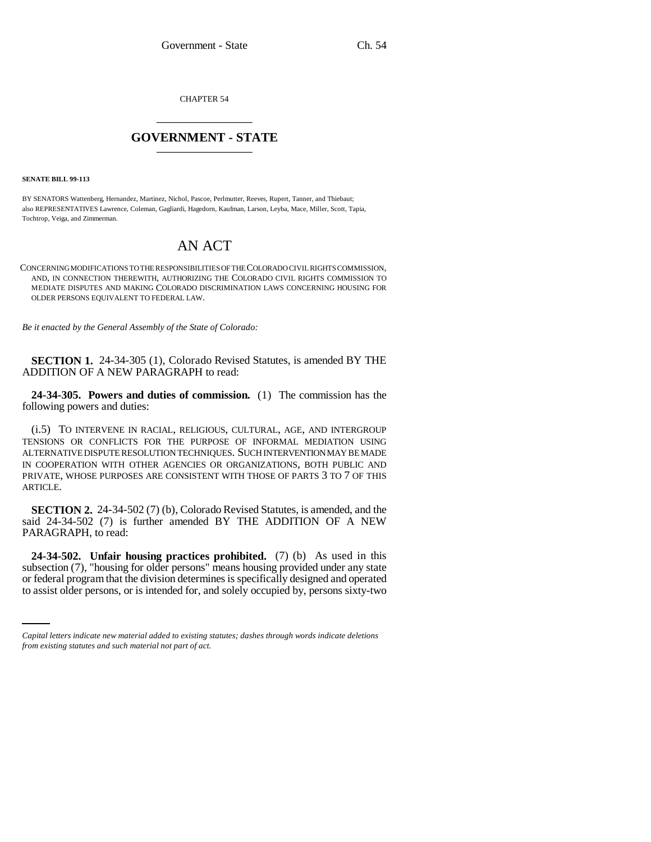CHAPTER 54 \_\_\_\_\_\_\_\_\_\_\_\_\_\_\_

## **GOVERNMENT - STATE** \_\_\_\_\_\_\_\_\_\_\_\_\_\_\_

**SENATE BILL 99-113** 

BY SENATORS Wattenberg, Hernandez, Martinez, Nichol, Pascoe, Perlmutter, Reeves, Rupert, Tanner, and Thiebaut; also REPRESENTATIVES Lawrence, Coleman, Gagliardi, Hagedorn, Kaufman, Larson, Leyba, Mace, Miller, Scott, Tapia, Tochtrop, Veiga, and Zimmerman.

## AN ACT

CONCERNING MODIFICATIONS TO THE RESPONSIBILITIES OF THE COLORADO CIVIL RIGHTS COMMISSION, AND, IN CONNECTION THEREWITH, AUTHORIZING THE COLORADO CIVIL RIGHTS COMMISSION TO MEDIATE DISPUTES AND MAKING COLORADO DISCRIMINATION LAWS CONCERNING HOUSING FOR OLDER PERSONS EQUIVALENT TO FEDERAL LAW.

*Be it enacted by the General Assembly of the State of Colorado:*

**SECTION 1.** 24-34-305 (1), Colorado Revised Statutes, is amended BY THE ADDITION OF A NEW PARAGRAPH to read:

**24-34-305. Powers and duties of commission.** (1) The commission has the following powers and duties:

(i.5) TO INTERVENE IN RACIAL, RELIGIOUS, CULTURAL, AGE, AND INTERGROUP TENSIONS OR CONFLICTS FOR THE PURPOSE OF INFORMAL MEDIATION USING ALTERNATIVE DISPUTE RESOLUTION TECHNIQUES. SUCH INTERVENTION MAY BE MADE IN COOPERATION WITH OTHER AGENCIES OR ORGANIZATIONS, BOTH PUBLIC AND PRIVATE, WHOSE PURPOSES ARE CONSISTENT WITH THOSE OF PARTS 3 TO 7 OF THIS ARTICLE.

**SECTION 2.** 24-34-502 (7) (b), Colorado Revised Statutes, is amended, and the said 24-34-502 (7) is further amended BY THE ADDITION OF A NEW PARAGRAPH, to read:

subsection (7), "housing for older persons" means housing provided under any state **24-34-502. Unfair housing practices prohibited.** (7) (b) As used in this or federal program that the division determines is specifically designed and operated to assist older persons, or is intended for, and solely occupied by, persons sixty-two

*Capital letters indicate new material added to existing statutes; dashes through words indicate deletions from existing statutes and such material not part of act.*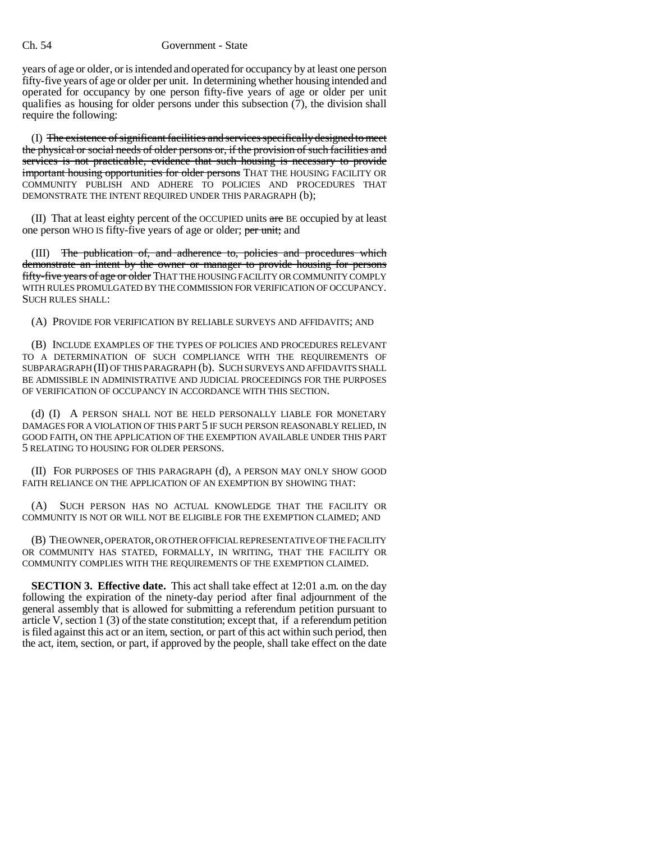years of age or older, or is intended and operated for occupancy by at least one person fifty-five years of age or older per unit. In determining whether housing intended and operated for occupancy by one person fifty-five years of age or older per unit qualifies as housing for older persons under this subsection  $(7)$ , the division shall require the following:

(I) The existence of significant facilities and services specifically designed to meet the physical or social needs of older persons or, if the provision of such facilities and services is not practicable, evidence that such housing is necessary to provide important housing opportunities for older persons THAT THE HOUSING FACILITY OR COMMUNITY PUBLISH AND ADHERE TO POLICIES AND PROCEDURES THAT DEMONSTRATE THE INTENT REQUIRED UNDER THIS PARAGRAPH (b);

(II) That at least eighty percent of the OCCUPIED units are BE occupied by at least one person WHO IS fifty-five years of age or older; per unit; and

(III) The publication of, and adherence to, policies and procedures which demonstrate an intent by the owner or manager to provide housing for persons fifty-five years of age or older THAT THE HOUSING FACILITY OR COMMUNITY COMPLY WITH RULES PROMULGATED BY THE COMMISSION FOR VERIFICATION OF OCCUPANCY. SUCH RULES SHALL:

(A) PROVIDE FOR VERIFICATION BY RELIABLE SURVEYS AND AFFIDAVITS; AND

(B) INCLUDE EXAMPLES OF THE TYPES OF POLICIES AND PROCEDURES RELEVANT TO A DETERMINATION OF SUCH COMPLIANCE WITH THE REQUIREMENTS OF SUBPARAGRAPH (II) OF THIS PARAGRAPH (b). SUCH SURVEYS AND AFFIDAVITS SHALL BE ADMISSIBLE IN ADMINISTRATIVE AND JUDICIAL PROCEEDINGS FOR THE PURPOSES OF VERIFICATION OF OCCUPANCY IN ACCORDANCE WITH THIS SECTION.

(d) (I) A PERSON SHALL NOT BE HELD PERSONALLY LIABLE FOR MONETARY DAMAGES FOR A VIOLATION OF THIS PART 5 IF SUCH PERSON REASONABLY RELIED, IN GOOD FAITH, ON THE APPLICATION OF THE EXEMPTION AVAILABLE UNDER THIS PART 5 RELATING TO HOUSING FOR OLDER PERSONS.

(II) FOR PURPOSES OF THIS PARAGRAPH (d), A PERSON MAY ONLY SHOW GOOD FAITH RELIANCE ON THE APPLICATION OF AN EXEMPTION BY SHOWING THAT:

(A) SUCH PERSON HAS NO ACTUAL KNOWLEDGE THAT THE FACILITY OR COMMUNITY IS NOT OR WILL NOT BE ELIGIBLE FOR THE EXEMPTION CLAIMED; AND

(B) THE OWNER, OPERATOR, OR OTHER OFFICIAL REPRESENTATIVE OF THE FACILITY OR COMMUNITY HAS STATED, FORMALLY, IN WRITING, THAT THE FACILITY OR COMMUNITY COMPLIES WITH THE REQUIREMENTS OF THE EXEMPTION CLAIMED.

**SECTION 3. Effective date.** This act shall take effect at 12:01 a.m. on the day following the expiration of the ninety-day period after final adjournment of the general assembly that is allowed for submitting a referendum petition pursuant to article V, section 1 (3) of the state constitution; except that, if a referendum petition is filed against this act or an item, section, or part of this act within such period, then the act, item, section, or part, if approved by the people, shall take effect on the date